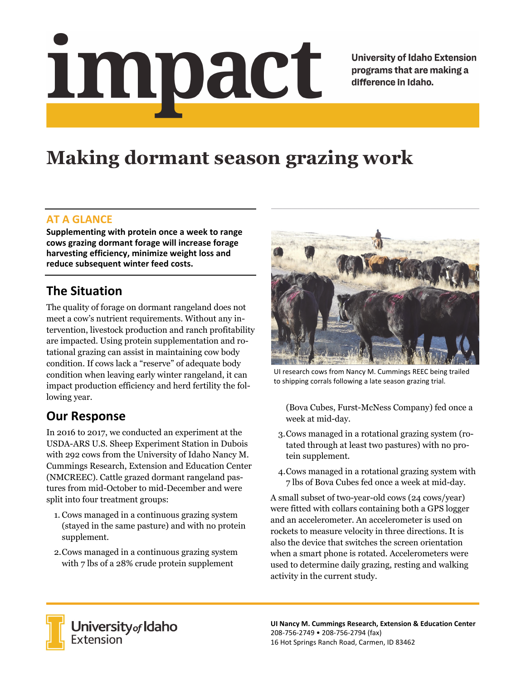# Impact

**University of Idaho Extension** programs that are making a difference in Idaho.

## **Making dormant season grazing work**

#### **AT A GLANCE**

**Supplementing with protein once a week to range cows grazing dormant forage will increase forage harvesting efficiency, minimize weight loss and reduce subsequent winter feed costs.**

### **The Situation**

The quality of forage on dormant rangeland does not meet a cow's nutrient requirements. Without any intervention, livestock production and ranch profitability are impacted. Using protein supplementation and rotational grazing can assist in maintaining cow body condition. If cows lack a "reserve" of adequate body condition when leaving early winter rangeland, it can impact production efficiency and herd fertility the following year.

#### **Our Response**

In 2016 to 2017, we conducted an experiment at the USDA-ARS U.S. Sheep Experiment Station in Dubois with 292 cows from the University of Idaho Nancy M. Cummings Research, Extension and Education Center (NMCREEC). Cattle grazed dormant rangeland pastures from mid-October to mid-December and were split into four treatment groups:

- 1. Cows managed in a continuous grazing system (stayed in the same pasture) and with no protein supplement.
- 2.Cows managed in a continuous grazing system with 7 lbs of a 28% crude protein supplement



UI research cows from Nancy M. Cummings REEC being trailed to shipping corrals following a late season grazing trial.

(Bova Cubes, Furst-McNess Company) fed once a week at mid-day.

- 3.Cows managed in a rotational grazing system (rotated through at least two pastures) with no protein supplement.
- 4.Cows managed in a rotational grazing system with 7 lbs of Bova Cubes fed once a week at mid-day.

A small subset of two-year-old cows (24 cows/year) were fitted with collars containing both a GPS logger and an accelerometer. An accelerometer is used on rockets to measure velocity in three directions. It is also the device that switches the screen orientation when a smart phone is rotated. Accelerometers were used to determine daily grazing, resting and walking activity in the current study.



**University** of Idaho<br>Extension

**UI Nancy M. Cummings Research, Extension & Education Center** 208‐756‐2749 • 208‐756‐2794 (fax) 16 Hot Springs Ranch Road, Carmen, ID 83462